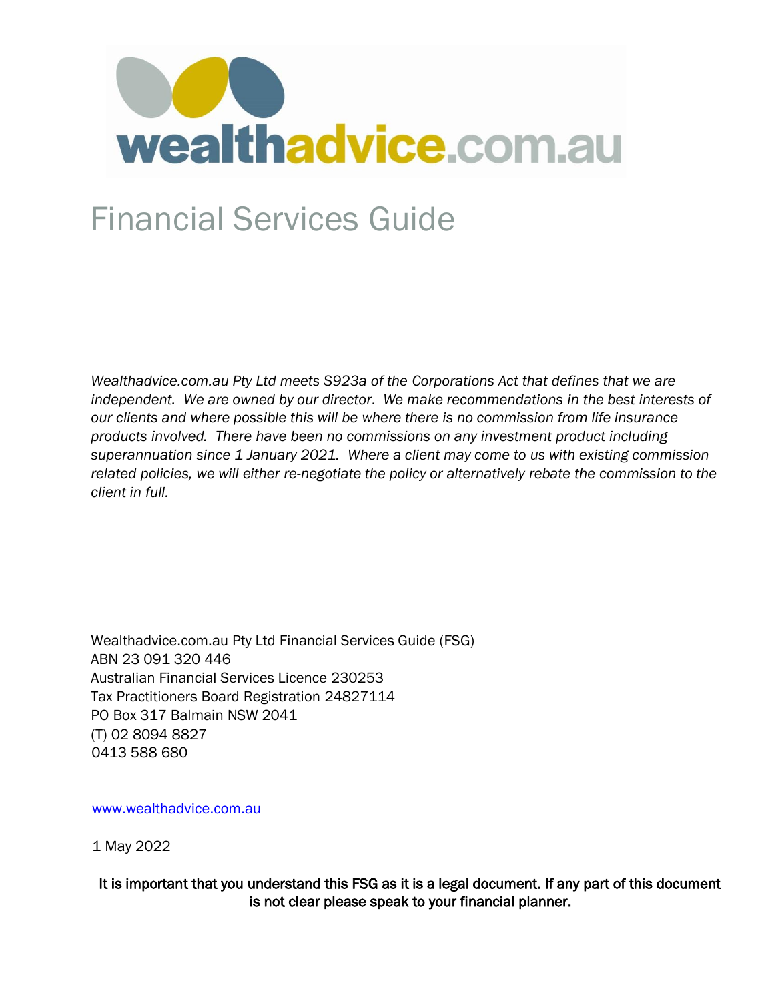

## Financial Services Guide

*Wealthadvice.com.au Pty Ltd meets S923a of the Corporations Act that defines that we are* independent. We are owned by our director. We make recommendations in the best interests of *our clients and where possible this will be where there is no commission from life insurance products involved. There have been no commissions on any investment product including superannuation since 1 January 2021. Where a client may come to us with existing commission related policies, we will either re-negotiate the policy or alternatively rebate the commission to the client in full.* 

Wealthadvice.com.au Pty Ltd Financial Services Guide (FSG) ABN 23 091 320 446 Australian Financial Services Licence 230253 Tax Practitioners Board Registration 24827114 PO Box 317 Balmain NSW 2041 (T) 02 8094 8827 0413 588 680

[www.wealthadvice.com.au](http://www.wealthadvice.com.au/)

1 May 2022

It is important that you understand this FSG as it is a legal document. If any part of this document is not clear please speak to your financial planner.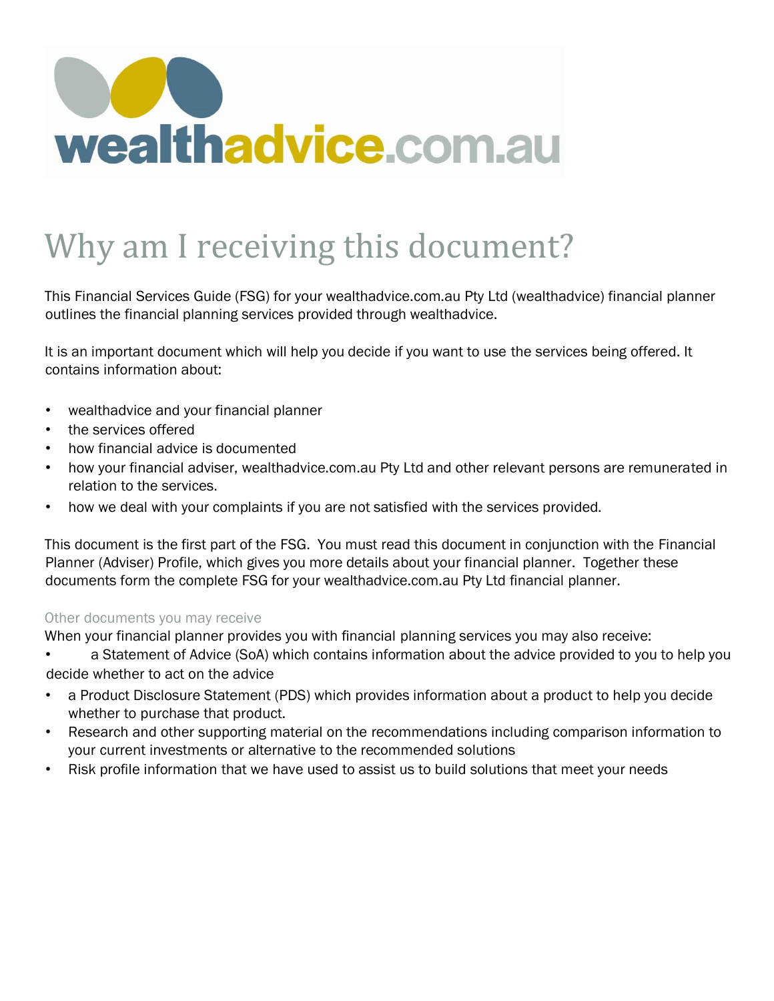

## Why am I receiving this document?

This Financial Services Guide (FSG) for your wealthadvice.com.au Pty Ltd (wealthadvice) financial planner outlines the financial planning services provided through wealthadvice.

It is an important document which will help you decide if you want to use the services being offered. It contains information about:

- wealthadvice and your financial planner
- the services offered
- how financial advice is documented
- how your financial adviser, wealthadvice.com.au Pty Ltd and other relevant persons are remunerated in relation to the services.
- how we deal with your complaints if you are not satisfied with the services provided.

This document is the first part of the FSG. You must read this document in conjunction with the Financial Planner (Adviser) Profile, which gives you more details about your financial planner. Together these documents form the complete FSG for your wealthadvice.com.au Pty Ltd financial planner.

### Other documents you may receive

When your financial planner provides you with financial planning services you may also receive:

• a Statement of Advice (SoA) which contains information about the advice provided to you to help you decide whether to act on the advice

- a Product Disclosure Statement (PDS) which provides information about a product to help you decide whether to purchase that product.
- Research and other supporting material on the recommendations including comparison information to your current investments or alternative to the recommended solutions
- Risk profile information that we have used to assist us to build solutions that meet your needs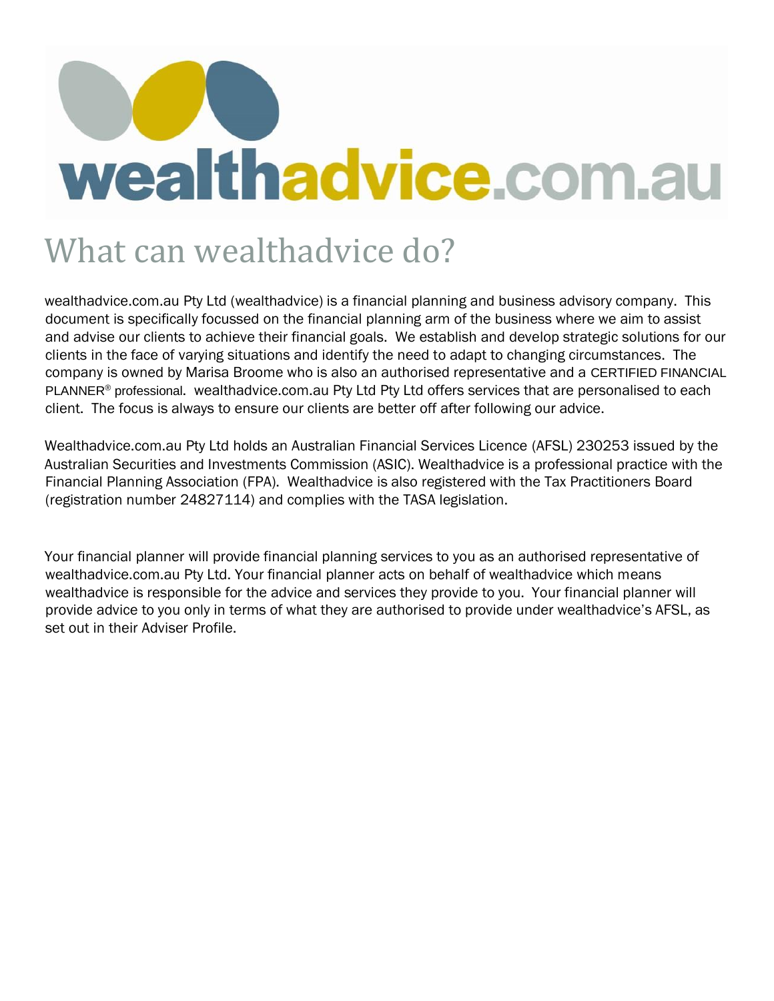## What can wealthadvice do?

wealthadvice.com.au Pty Ltd (wealthadvice) is a financial planning and business advisory company. This document is specifically focussed on the financial planning arm of the business where we aim to assist and advise our clients to achieve their financial goals. We establish and develop strategic solutions for our clients in the face of varying situations and identify the need to adapt to changing circumstances. The company is owned by Marisa Broome who is also an authorised representative and a CERTIFIED FINANCIAL PLANNER<sup>®</sup> professional. wealthadvice.com.au Pty Ltd Pty Ltd offers services that are personalised to each client. The focus is always to ensure our clients are better off after following our advice.

Wealthadvice.com.au Pty Ltd holds an Australian Financial Services Licence (AFSL) 230253 issued by the Australian Securities and Investments Commission (ASIC). Wealthadvice is a professional practice with the Financial Planning Association (FPA). Wealthadvice is also registered with the Tax Practitioners Board (registration number 24827114) and complies with the TASA legislation.

Your financial planner will provide financial planning services to you as an authorised representative of wealthadvice.com.au Pty Ltd. Your financial planner acts on behalf of wealthadvice which means wealthadvice is responsible for the advice and services they provide to you. Your financial planner will provide advice to you only in terms of what they are authorised to provide under wealthadvice's AFSL, as set out in their Adviser Profile.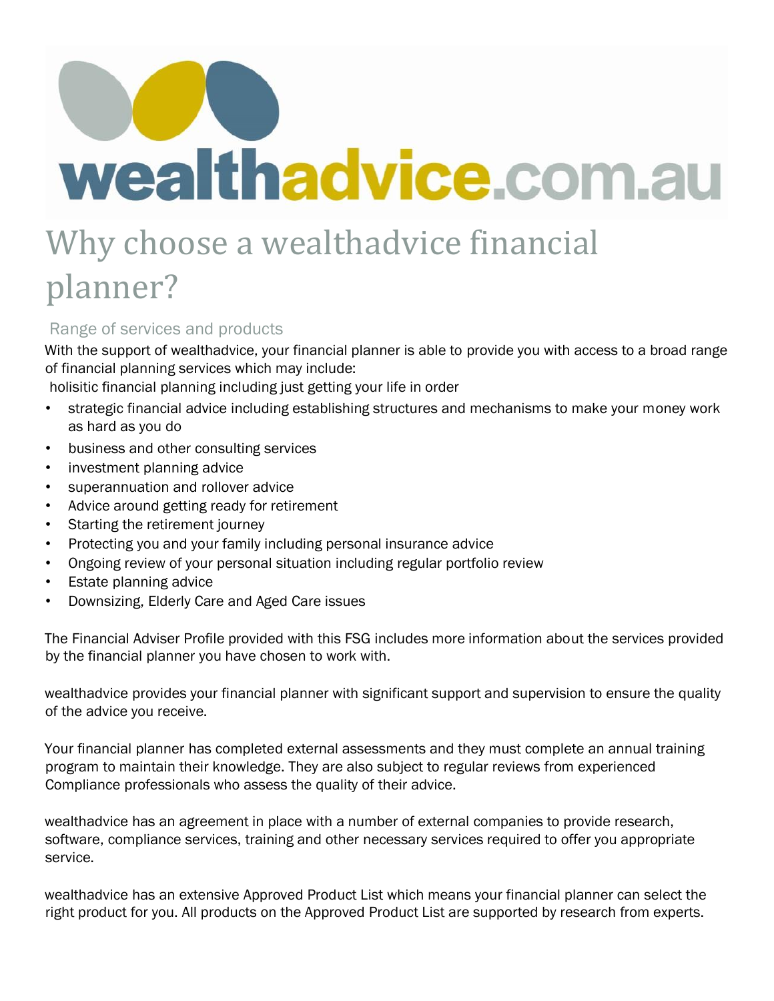## Why choose a wealthadvice financial planner?

## Range of services and products

With the support of wealthadvice, your financial planner is able to provide you with access to a broad range of financial planning services which may include:

holisitic financial planning including just getting your life in order

- strategic financial advice including establishing structures and mechanisms to make your money work as hard as you do
- business and other consulting services
- investment planning advice
- superannuation and rollover advice
- Advice around getting ready for retirement
- Starting the retirement journey
- Protecting you and your family including personal insurance advice
- Ongoing review of your personal situation including regular portfolio review
- Estate planning advice
- Downsizing, Elderly Care and Aged Care issues

The Financial Adviser Profile provided with this FSG includes more information about the services provided by the financial planner you have chosen to work with.

wealthadvice provides your financial planner with significant support and supervision to ensure the quality of the advice you receive.

Your financial planner has completed external assessments and they must complete an annual training program to maintain their knowledge. They are also subject to regular reviews from experienced Compliance professionals who assess the quality of their advice.

wealthadvice has an agreement in place with a number of external companies to provide research, software, compliance services, training and other necessary services required to offer you appropriate service.

wealthadvice has an extensive Approved Product List which means your financial planner can select the right product for you. All products on the Approved Product List are supported by research from experts.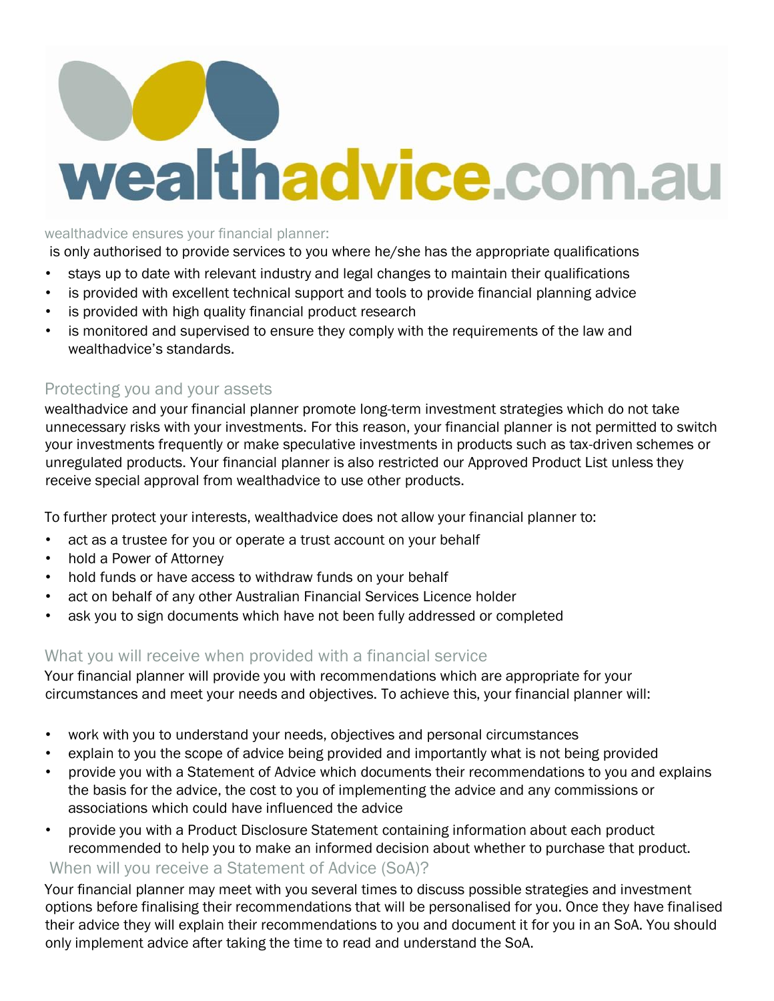### wealthadvice ensures your financial planner:

is only authorised to provide services to you where he/she has the appropriate qualifications

- stays up to date with relevant industry and legal changes to maintain their qualifications
- is provided with excellent technical support and tools to provide financial planning advice
- is provided with high quality financial product research
- is monitored and supervised to ensure they comply with the requirements of the law and wealthadvice's standards.

## Protecting you and your assets

wealthadvice and your financial planner promote long-term investment strategies which do not take unnecessary risks with your investments. For this reason, your financial planner is not permitted to switch your investments frequently or make speculative investments in products such as tax-driven schemes or unregulated products. Your financial planner is also restricted our Approved Product List unless they receive special approval from wealthadvice to use other products.

To further protect your interests, wealthadvice does not allow your financial planner to:

- act as a trustee for you or operate a trust account on your behalf
- hold a Power of Attorney
- hold funds or have access to withdraw funds on your behalf
- act on behalf of any other Australian Financial Services Licence holder
- ask you to sign documents which have not been fully addressed or completed

## What you will receive when provided with a financial service

Your financial planner will provide you with recommendations which are appropriate for your circumstances and meet your needs and objectives. To achieve this, your financial planner will:

- work with you to understand your needs, objectives and personal circumstances
- explain to you the scope of advice being provided and importantly what is not being provided
- provide you with a Statement of Advice which documents their recommendations to you and explains the basis for the advice, the cost to you of implementing the advice and any commissions or associations which could have influenced the advice
- provide you with a Product Disclosure Statement containing information about each product recommended to help you to make an informed decision about whether to purchase that product.

### When will you receive a Statement of Advice (SoA)?

Your financial planner may meet with you several times to discuss possible strategies and investment options before finalising their recommendations that will be personalised for you. Once they have finalised their advice they will explain their recommendations to you and document it for you in an SoA. You should only implement advice after taking the time to read and understand the SoA.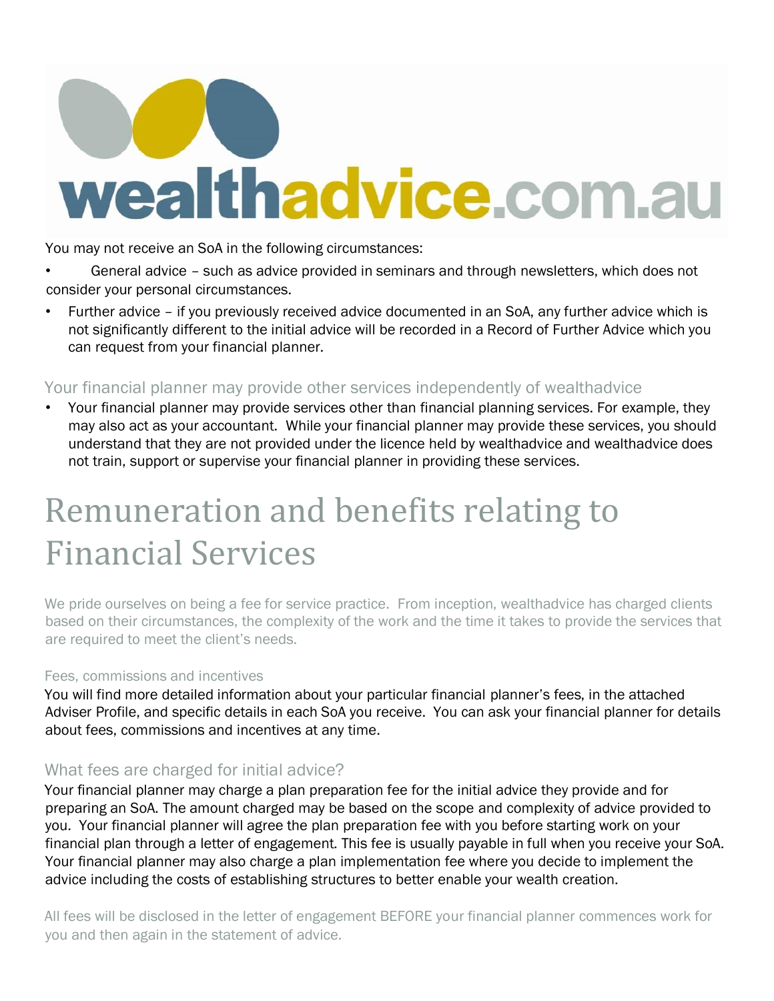You may not receive an SoA in the following circumstances:

General advice - such as advice provided in seminars and through newsletters, which does not consider your personal circumstances.

• Further advice – if you previously received advice documented in an SoA, any further advice which is not significantly different to the initial advice will be recorded in a Record of Further Advice which you can request from your financial planner.

## Your financial planner may provide other services independently of wealthadvice

• Your financial planner may provide services other than financial planning services. For example, they may also act as your accountant. While your financial planner may provide these services, you should understand that they are not provided under the licence held by wealthadvice and wealthadvice does not train, support or supervise your financial planner in providing these services.

## Remuneration and benefits relating to Financial Services

We pride ourselves on being a fee for service practice. From inception, wealthadvice has charged clients based on their circumstances, the complexity of the work and the time it takes to provide the services that are required to meet the client's needs.

## Fees, commissions and incentives

You will find more detailed information about your particular financial planner's fees, in the attached Adviser Profile, and specific details in each SoA you receive. You can ask your financial planner for details about fees, commissions and incentives at any time.

## What fees are charged for initial advice?

Your financial planner may charge a plan preparation fee for the initial advice they provide and for preparing an SoA. The amount charged may be based on the scope and complexity of advice provided to you. Your financial planner will agree the plan preparation fee with you before starting work on your financial plan through a letter of engagement. This fee is usually payable in full when you receive your SoA. Your financial planner may also charge a plan implementation fee where you decide to implement the advice including the costs of establishing structures to better enable your wealth creation.

All fees will be disclosed in the letter of engagement BEFORE your financial planner commences work for you and then again in the statement of advice.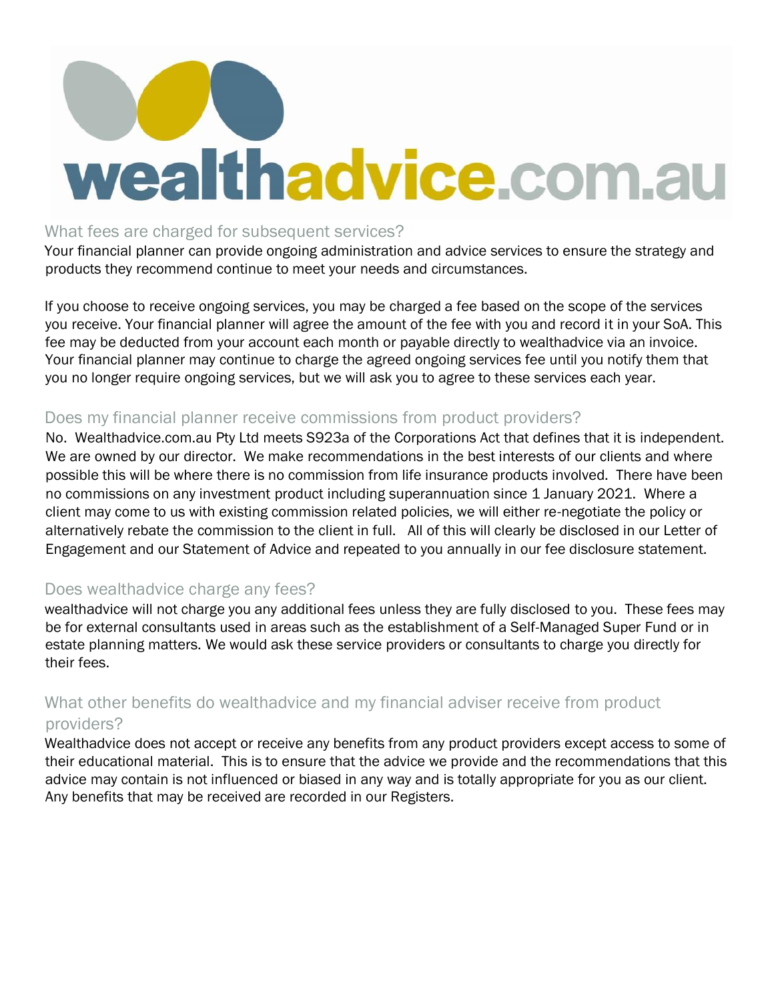### What fees are charged for subsequent services?

Your financial planner can provide ongoing administration and advice services to ensure the strategy and products they recommend continue to meet your needs and circumstances.

If you choose to receive ongoing services, you may be charged a fee based on the scope of the services you receive. Your financial planner will agree the amount of the fee with you and record it in your SoA. This fee may be deducted from your account each month or payable directly to wealthadvice via an invoice. Your financial planner may continue to charge the agreed ongoing services fee until you notify them that you no longer require ongoing services, but we will ask you to agree to these services each year.

## Does my financial planner receive commissions from product providers?

No. Wealthadvice.com.au Pty Ltd meets S923a of the Corporations Act that defines that it is independent. We are owned by our director. We make recommendations in the best interests of our clients and where possible this will be where there is no commission from life insurance products involved. There have been no commissions on any investment product including superannuation since 1 January 2021. Where a client may come to us with existing commission related policies, we will either re-negotiate the policy or alternatively rebate the commission to the client in full.All of this will clearly be disclosed in our Letter of Engagement and our Statement of Advice and repeated to you annually in our fee disclosure statement.

## Does wealthadvice charge any fees?

wealthadvice will not charge you any additional fees unless they are fully disclosed to you. These fees may be for external consultants used in areas such as the establishment of a Self-Managed Super Fund or in estate planning matters. We would ask these service providers or consultants to charge you directly for their fees.

## What other benefits do wealthadvice and my financial adviser receive from product providers?

Wealthadvice does not accept or receive any benefits from any product providers except access to some of their educational material. This is to ensure that the advice we provide and the recommendations that this advice may contain is not influenced or biased in any way and is totally appropriate for you as our client. Any benefits that may be received are recorded in our Registers.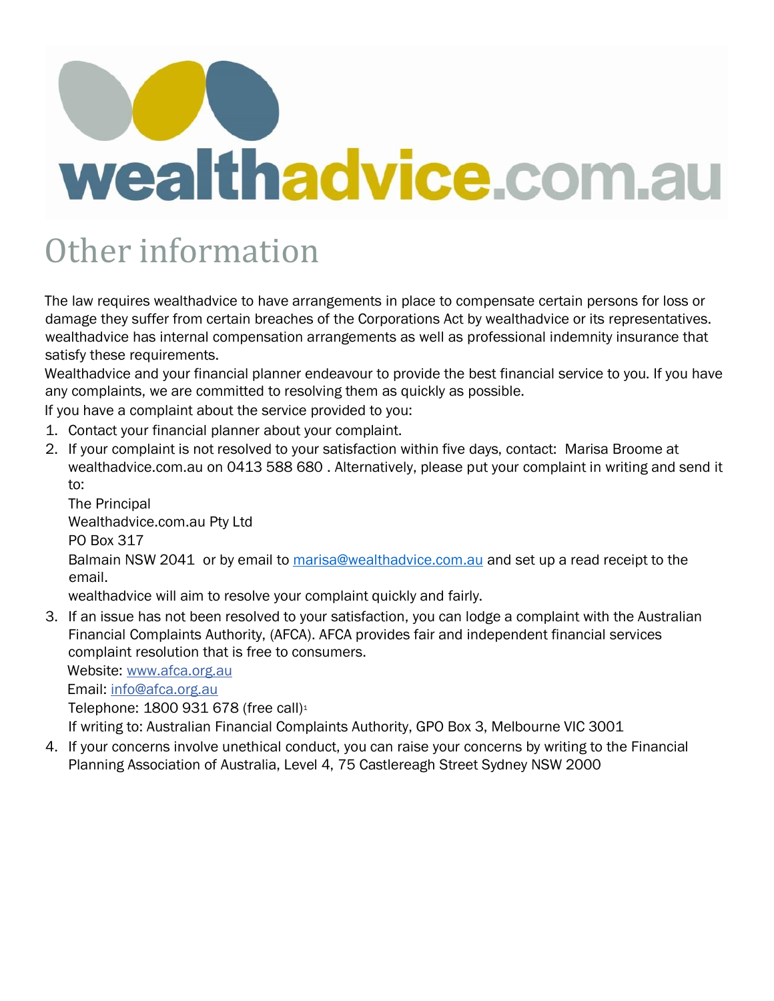## Other information

The law requires wealthadvice to have arrangements in place to compensate certain persons for loss or damage they suffer from certain breaches of the Corporations Act by wealthadvice or its representatives. wealthadvice has internal compensation arrangements as well as professional indemnity insurance that satisfy these requirements.

Wealthadvice and your financial planner endeavour to provide the best financial service to you. If you have any complaints, we are committed to resolving them as quickly as possible.

If you have a complaint about the service provided to you:

- 1. Contact your financial planner about your complaint.
- 2. If your complaint is not resolved to your satisfaction within five days, contact: Marisa Broome at wealthadvice.com.au on 0413 588 680 . Alternatively, please put your complaint in writing and send it to:

The Principal Wealthadvice.com.au Pty Ltd PO Box 317 Balmain NSW 2041 or by email to [marisa@wealthadvice.com.au](mailto:marisa@wealthadvice.com.au) and set up a read receipt to the email. wealthadvice will aim to resolve your complaint quickly and fairly.

3. If an issue has not been resolved to your satisfaction, you can lodge a complaint with the Australian Financial Complaints Authority, (AFCA). AFCA provides fair and independent financial services complaint resolution that is free to consumers.

Website: [www.afca.org.au](https://www.afca.org.au/)

Email: info@afca.org.au

Telephone: 1800 931 678 (free call)<sup>1</sup>

If writing to: Australian Financial Complaints Authority, GPO Box 3, Melbourne VIC 3001

4. If your concerns involve unethical conduct, you can raise your concerns by writing to the Financial Planning Association of Australia, Level 4, 75 Castlereagh Street Sydney NSW 2000